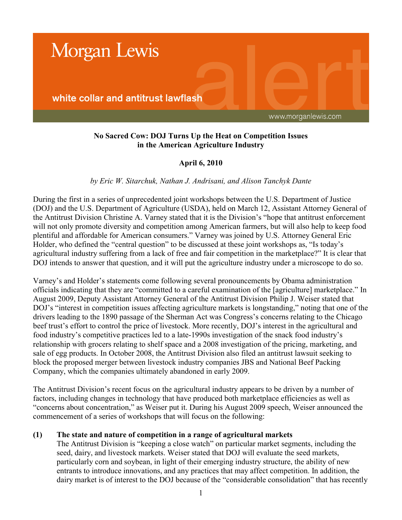

# **No Sacred Cow: DOJ Turns Up the Heat on Competition Issues in the American Agriculture Industry**

# **April 6, 2010**

## *by Eric W. Sitarchuk, Nathan J. Andrisani, and Alison Tanchyk Dante*

During the first in a series of unprecedented joint workshops between the U.S. Department of Justice (DOJ) and the U.S. Department of Agriculture (USDA), held on March 12, Assistant Attorney General of the Antitrust Division Christine A. Varney stated that it is the Division's "hope that antitrust enforcement will not only promote diversity and competition among American farmers, but will also help to keep food plentiful and affordable for American consumers." Varney was joined by U.S. Attorney General Eric Holder, who defined the "central question" to be discussed at these joint workshops as, "Is today's agricultural industry suffering from a lack of free and fair competition in the marketplace?" It is clear that DOJ intends to answer that question, and it will put the agriculture industry under a microscope to do so.

Varney's and Holder's statements come following several pronouncements by Obama administration officials indicating that they are "committed to a careful examination of the [agriculture] marketplace." In August 2009, Deputy Assistant Attorney General of the Antitrust Division Philip J. Weiser stated that DOJ's "interest in competition issues affecting agriculture markets is longstanding," noting that one of the drivers leading to the 1890 passage of the Sherman Act was Congress's concerns relating to the Chicago beef trust's effort to control the price of livestock. More recently, DOJ's interest in the agricultural and food industry's competitive practices led to a late-1990s investigation of the snack food industry's relationship with grocers relating to shelf space and a 2008 investigation of the pricing, marketing, and sale of egg products. In October 2008, the Antitrust Division also filed an antitrust lawsuit seeking to block the proposed merger between livestock industry companies JBS and National Beef Packing Company, which the companies ultimately abandoned in early 2009.

The Antitrust Division's recent focus on the agricultural industry appears to be driven by a number of factors, including changes in technology that have produced both marketplace efficiencies as well as "concerns about concentration," as Weiser put it. During his August 2009 speech, Weiser announced the commencement of a series of workshops that will focus on the following:

#### **(1) The state and nature of competition in a range of agricultural markets**

The Antitrust Division is "keeping a close watch" on particular market segments, including the seed, dairy, and livestock markets. Weiser stated that DOJ will evaluate the seed markets, particularly corn and soybean, in light of their emerging industry structure, the ability of new entrants to introduce innovations, and any practices that may affect competition. In addition, the dairy market is of interest to the DOJ because of the "considerable consolidation" that has recently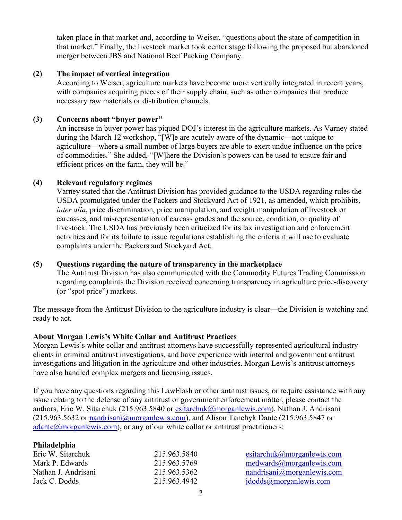taken place in that market and, according to Weiser, "questions about the state of competition in that market." Finally, the livestock market took center stage following the proposed but abandoned merger between JBS and National Beef Packing Company.

## **(2) The impact of vertical integration**

According to Weiser, agriculture markets have become more vertically integrated in recent years, with companies acquiring pieces of their supply chain, such as other companies that produce necessary raw materials or distribution channels.

### **(3) Concerns about "buyer power"**

An increase in buyer power has piqued DOJ's interest in the agriculture markets. As Varney stated during the March 12 workshop, "[W]e are acutely aware of the dynamic—not unique to agriculture—where a small number of large buyers are able to exert undue influence on the price of commodities." She added, "[W]here the Division's powers can be used to ensure fair and efficient prices on the farm, they will be."

#### **(4) Relevant regulatory regimes**

Varney stated that the Antitrust Division has provided guidance to the USDA regarding rules the USDA promulgated under the Packers and Stockyard Act of 1921, as amended, which prohibits, *inter alia*, price discrimination, price manipulation, and weight manipulation of livestock or carcasses, and misrepresentation of carcass grades and the source, condition, or quality of livestock. The USDA has previously been criticized for its lax investigation and enforcement activities and for its failure to issue regulations establishing the criteria it will use to evaluate complaints under the Packers and Stockyard Act.

#### **(5) Questions regarding the nature of transparency in the marketplace**

The Antitrust Division has also communicated with the Commodity Futures Trading Commission regarding complaints the Division received concerning transparency in agriculture price-discovery (or "spot price") markets.

The message from the Antitrust Division to the agriculture industry is clear—the Division is watching and ready to act.

#### **About Morgan Lewis's White Collar and Antitrust Practices**

Morgan Lewis's white collar and antitrust attorneys have successfully represented agricultural industry clients in criminal antitrust investigations, and have experience with internal and government antitrust investigations and litigation in the agriculture and other industries. Morgan Lewis's antitrust attorneys have also handled complex mergers and licensing issues.

If you have any questions regarding this LawFlash or other antitrust issues, or require assistance with any issue relating to the defense of any antitrust or government enforcement matter, please contact the authors, Eric W. Sitarchuk (215.963.5840 or [esitarchuk@morganlewis.com](mailto:esitarchuk@morganlewis.com)), Nathan J. Andrisani (215.963.5632 or [nandrisani@morganlewis.com](mailto:nandrisani@morganlewis.com)), and Alison Tanchyk Dante (215.963.5847 or  $adante@morganlewis.com$ , or any of our white collar or antitrust practitioners:

| Philadelphia        |              |                               |
|---------------------|--------------|-------------------------------|
| Eric W. Sitarchuk   | 215.963.5840 | esitarchuk@morganlewis.com    |
| Mark P. Edwards     | 215.963.5769 | medwards@moreanlewis.com      |
| Nathan J. Andrisani | 215.963.5362 | nandrisani@morganlewis.com    |
| Jack C. Dodds       | 215.963.4942 | $j$ dodds $@$ morganlewis.com |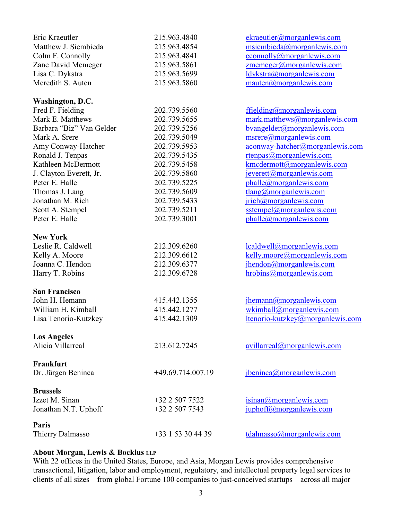| Eric Kraeutler           | 215.963.4840        | ekraeutler@morganlewis.com           |
|--------------------------|---------------------|--------------------------------------|
| Matthew J. Siembieda     | 215.963.4854        | msiembieda@morganlewis.com           |
| Colm F. Connolly         | 215.963.4841        | cconnolly@morganlewis.com            |
| Zane David Memeger       | 215.963.5861        | zmemeger@morganlewis.com             |
| Lisa C. Dykstra          | 215.963.5699        | ldykstra@morganlewis.com             |
| Meredith S. Auten        | 215.963.5860        | $m$ auten $@$ morganlewis.com        |
| Washington, D.C.         |                     |                                      |
| Fred F. Fielding         | 202.739.5560        | ffielding@morganlewis.com            |
| Mark E. Matthews         | 202.739.5655        | mark.matthews@morganlewis.com        |
| Barbara "Biz" Van Gelder | 202.739.5256        | bvangelder@morganlewis.com           |
| Mark A. Srere            | 202.739.5049        | msrere@morganlewis.com               |
| Amy Conway-Hatcher       | 202.739.5953        | aconway-hatcher@morganlewis.com      |
| Ronald J. Tenpas         | 202.739.5435        | rtenpas@morganlewis.com              |
| Kathleen McDermott       | 202.739.5458        | kmcdermott@morganlewis.com           |
| J. Clayton Everett, Jr.  | 202.739.5860        | jeverett@morganlewis.com             |
| Peter E. Halle           | 202.739.5225        | phalle@morganlewis.com               |
| Thomas J. Lang           | 202.739.5609        | $tlang(\overline{a}$ morganlewis.com |
| Jonathan M. Rich         | 202.739.5433        | jrich@morganlewis.com                |
| Scott A. Stempel         | 202.739.5211        | sstempel@morganlewis.com             |
| Peter E. Halle           | 202.739.3001        | phalle@morganlewis.com               |
| <b>New York</b>          |                     |                                      |
| Leslie R. Caldwell       | 212.309.6260        | lcaldwell@morganlewis.com            |
| Kelly A. Moore           | 212.309.6612        | kelly.moore@morganlewis.com          |
| Joanna C. Hendon         | 212.309.6377        | jhendon@morganlewis.com              |
| Harry T. Robins          | 212.309.6728        | hrobins@morganlewis.com              |
| <b>San Francisco</b>     |                     |                                      |
| John H. Hemann           | 415.442.1355        | jhemann@morganlewis.com              |
| William H. Kimball       | 415.442.1277        | wkimball@morganlewis.com             |
| Lisa Tenorio-Kutzkey     | 415.442.1309        | ltenorio-kutzkey@morganlewis.com     |
| <b>Los Angeles</b>       |                     |                                      |
| Alicia Villarreal        | 213.612.7245        | avillard@morganlewis.com             |
| Frankfurt                |                     |                                      |
| Dr. Jürgen Beninca       | $+49.69.714.007.19$ | jbeninca@morganlewis.com             |
| <b>Brussels</b>          |                     |                                      |
| Izzet M. Sinan           | +32 2 507 7522      | isinan@morganlewis.com               |
| Jonathan N.T. Uphoff     | +32 2 507 7543      | juphoff@morganlewis.com              |
| Paris                    |                     |                                      |
| Thierry Dalmasso         | +33 1 53 30 44 39   | $t$ dalmasso $@$ morganlewis.com     |

# **About Morgan, Lewis & Bockius LLP**

With 22 offices in the United States, Europe, and Asia, Morgan Lewis provides comprehensive transactional, litigation, labor and employment, regulatory, and intellectual property legal services to clients of all sizes—from global Fortune 100 companies to just-conceived startups—across all major